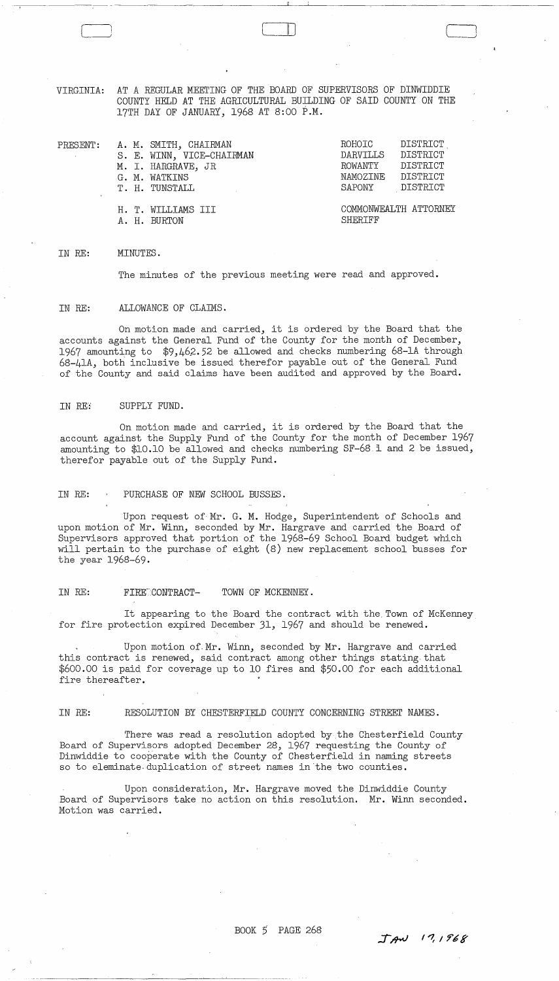VIRGINIA: AT A REGULAR MEETING OF THE BOARD OF SUPERVISORS OF DINWIDDIE COUNTY HELD AT THE AGRICULTURAL BUILDING OF SAID COUNTY ON THE 17TH DAY OF JANUARY, 1968 AT 8:00 P.M.

 $\begin{array}{ccc} \hline \ \hline \ \end{array}$ 

| $\mathtt{PRESENT}$ : |  | A. M. SMITH, CHAIRMAN     | ROHOIC            | DISTRICT              |
|----------------------|--|---------------------------|-------------------|-----------------------|
|                      |  | S. E. WINN, VICE-CHAIRMAN | DARVILLS DISTRICT |                       |
|                      |  | M. I. HARGRAVE, JR        | ROWANTY           | DISTRICT              |
|                      |  | G. M. WATKINS             | NAMOZINE          | DISTRICT              |
|                      |  | T. H. TUNSTALL            | SAPONY            | DISTRICT              |
|                      |  | H. T. WILLIAMS III        |                   | COMMONWEALTH ATTORNEY |
|                      |  |                           |                   |                       |
|                      |  | A. H. BURTON              | SHERIFF           |                       |

## IN RE: MINUTES .

The minutes of the previous meeting were read and approved.

## IN RE: ALLOWANCE OF CLAIMS.

On motion made and carried, it is ordered by the Board that the accounts against the General Fund of the County for the month of December, 1967 amounting to \$9,462.52 be allowed and checks numbering 68-1A through 68-41A, both inclusive be issued therefor payable out of the General Fund of the County and said claims have been audited and approved by the Board.

## IN RE: SUPPLY FUND.

On motion made and carried, it is ordered by the Board that the account against the Supply Fund of the County for the month of December 1967 amounting to \$10.10 be allowed and checks numbering SF-68 1 and 2 be issued, therefor payable out of the Supply Fund.

IN RE: PURCHASE OF NEW SCHOOL BUSSES.

Upon request of Mr. G. M. Hodge, Superintendent of Schools and upon motion of Mr. Winn, seconded by Mr. Hargrave and carried the Board of Supervisors approved that portion of the 1968-69 School Board budget which will pertain to the purchase of eight (8) new replacement school busses for the year 1968-69.

## IN RE: FIRETCONTRACT- TOWN OF MCKENNEY.

It appearing to the Board the contract with the. Town of McKenney for fire protection expired December 31, 1967 and should be renewed.

Upon motion of,Mr. Winn, seconded by Mr. Hargrave and carried this contract is renewed, said contract among other things stating that \$600.00 is paid for coverage up to 10 fires and \$50.00 for each additional fire thereafter.

IN RE: RESOLUTION BY CHESTERFIELD COUNTY CONCERNING STREET NAMES.

There was read a resolution adopted by the Chesterfield County Board of Supervisors adopted December 28, 1967 requesting the County of Dinwiddie to cooperate with the County of Chesterfield in naming streets so to eleminate, duplication of street names in 'the two counties.

Upon consideration, Mr. Hargrave moved the Dinwiddie County Board of Supervisors take no action on this resolution. Mr. Winn seconded. Motion was carried.